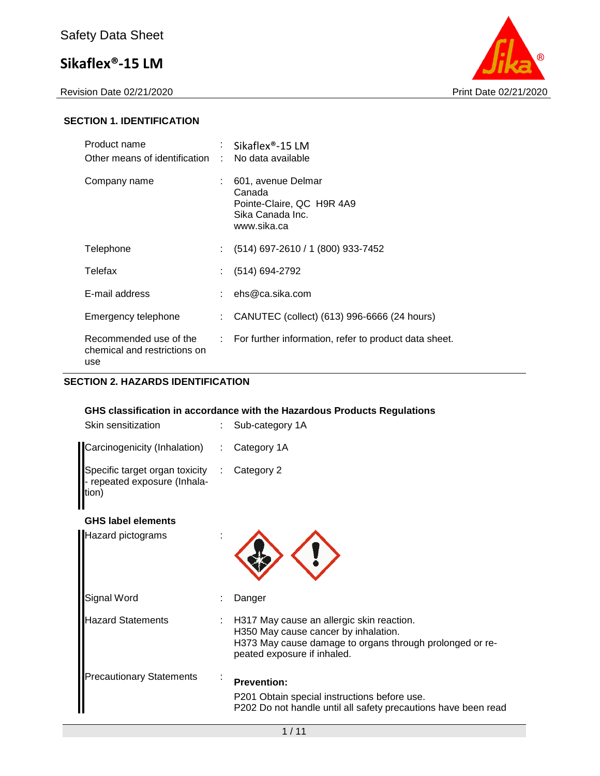Revision Date 02/21/2020 **Print Date 02/21/2020** 



### **SECTION 1. IDENTIFICATION**

| Product name<br>Other means of identification                 | $\mathcal{F}_{\mathcal{A}}$ | $\therefore$ Sikaflex®-15 LM<br>No data available                                            |
|---------------------------------------------------------------|-----------------------------|----------------------------------------------------------------------------------------------|
| Company name                                                  |                             | 601, avenue Delmar<br>Canada<br>Pointe-Claire, QC H9R 4A9<br>Sika Canada Inc.<br>www.sika.ca |
| Telephone                                                     | ÷.                          | (514) 697-2610 / 1 (800) 933-7452                                                            |
| Telefax                                                       |                             | (514) 694-2792                                                                               |
| E-mail address                                                |                             | ehs@ca.sika.com                                                                              |
| Emergency telephone                                           |                             | CANUTEC (collect) (613) 996-6666 (24 hours)                                                  |
| Recommended use of the<br>chemical and restrictions on<br>use |                             | : For further information, refer to product data sheet.                                      |

### **SECTION 2. HAZARDS IDENTIFICATION**

### **GHS classification in accordance with the Hazardous Products Regulations**

| Skin sensitization                                                                 | Sub-category 1A                                                                                                                                                              |
|------------------------------------------------------------------------------------|------------------------------------------------------------------------------------------------------------------------------------------------------------------------------|
| Carcinogenicity (Inhalation) :                                                     | Category 1A                                                                                                                                                                  |
| Specific target organ toxicity : Category 2<br>repeated exposure (Inhala-<br>tion) |                                                                                                                                                                              |
| <b>GHS label elements</b>                                                          |                                                                                                                                                                              |
| <b>Hazard pictograms</b>                                                           |                                                                                                                                                                              |
| Signal Word                                                                        | Danger                                                                                                                                                                       |
| Hazard Statements                                                                  | H317 May cause an allergic skin reaction.<br>H350 May cause cancer by inhalation.<br>H373 May cause damage to organs through prolonged or re-<br>peated exposure if inhaled. |
| <b>Precautionary Statements</b>                                                    | <b>Prevention:</b><br>P201 Obtain special instructions before use.                                                                                                           |
|                                                                                    | P202 Do not handle until all safety precautions have been rea                                                                                                                |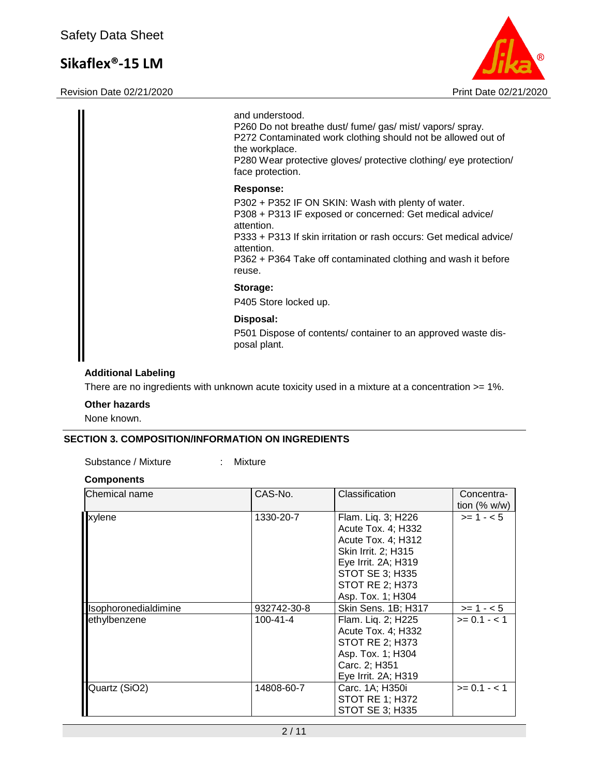Revision Date 02/21/2020 **Print Date 02/21/2020** 



| and understood.<br>P260 Do not breathe dust/ fume/ gas/ mist/ vapors/ spray.<br>P272 Contaminated work clothing should not be allowed out of<br>the workplace.<br>P280 Wear protective gloves/ protective clothing/ eye protection/<br>face protection.                                                  |
|----------------------------------------------------------------------------------------------------------------------------------------------------------------------------------------------------------------------------------------------------------------------------------------------------------|
| Response:<br>P302 + P352 IF ON SKIN: Wash with plenty of water.<br>P308 + P313 IF exposed or concerned: Get medical advice/<br>attention.<br>P333 + P313 If skin irritation or rash occurs: Get medical advice/<br>attention.<br>P362 + P364 Take off contaminated clothing and wash it before<br>reuse. |
| Storage:<br>P405 Store locked up.                                                                                                                                                                                                                                                                        |
| Disposal:<br>P501 Dispose of contents/ container to an approved waste dis-<br>posal plant.                                                                                                                                                                                                               |

### **Additional Labeling**

There are no ingredients with unknown acute toxicity used in a mixture at a concentration >= 1%.

### **Other hazards**

None known.

# **SECTION 3. COMPOSITION/INFORMATION ON INGREDIENTS**

| Mixture |  |
|---------|--|
|         |  |

#### **Components**

| Chemical name        | CAS-No.        | Classification                                                                                                                                                                        | Concentra-<br>tion $(\% w/w)$ |
|----------------------|----------------|---------------------------------------------------------------------------------------------------------------------------------------------------------------------------------------|-------------------------------|
| <b>xylene</b>        | 1330-20-7      | Flam. Liq. 3; H226<br>Acute Tox. 4: H332<br>Acute Tox. 4; H312<br>Skin Irrit. 2; H315<br>Eye Irrit. 2A; H319<br><b>STOT SE 3; H335</b><br><b>STOT RE 2; H373</b><br>Asp. Tox. 1; H304 | $>= 1 - 5$                    |
| Isophoronedialdimine | 932742-30-8    | Skin Sens. 1B; H317                                                                                                                                                                   | $>= 1 - 5$                    |
| ethylbenzene         | $100 - 41 - 4$ | Flam. Lig. 2; H225<br>Acute Tox. 4; H332<br><b>STOT RE 2; H373</b><br>Asp. Tox. 1; H304<br>Carc. 2; H351<br>Eye Irrit. 2A; H319                                                       | $>= 0.1 - 1.1$                |
| Quartz (SiO2)        | 14808-60-7     | Carc. 1A; H350i<br>STOT RE 1; H372<br>STOT SE 3; H335                                                                                                                                 | $>= 0.1 - 1.1$                |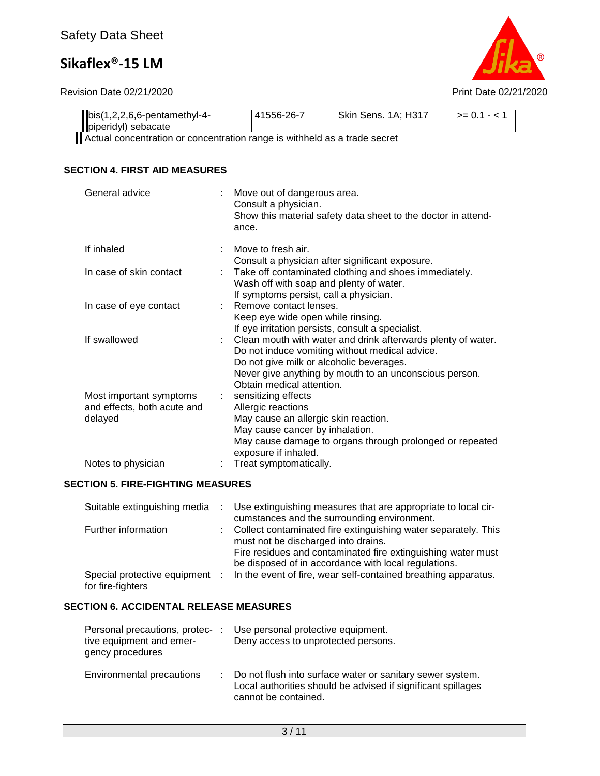

Revision Date 02/21/2020 Print Date 02/21/2020

| $\mathsf{bis}(1,2,2,6,6\text{-}pentamethyl-4\text{-}$ | 41556-26-7 | Skin Sens. 1A; H317 | $>= 0.1 - <$ |
|-------------------------------------------------------|------------|---------------------|--------------|
| piperidyl) sebacate                                   |            |                     |              |

Actual concentration or concentration range is withheld as a trade secret

## **SECTION 4. FIRST AID MEASURES**

| General advice                                                    |                               | Move out of dangerous area.<br>Consult a physician.<br>Show this material safety data sheet to the doctor in attend-<br>ance.                                                                                                                       |
|-------------------------------------------------------------------|-------------------------------|-----------------------------------------------------------------------------------------------------------------------------------------------------------------------------------------------------------------------------------------------------|
| If inhaled                                                        |                               | Move to fresh air.<br>Consult a physician after significant exposure.                                                                                                                                                                               |
| In case of skin contact                                           |                               | Take off contaminated clothing and shoes immediately.<br>Wash off with soap and plenty of water.<br>If symptoms persist, call a physician.                                                                                                          |
| In case of eye contact                                            |                               | Remove contact lenses.<br>Keep eye wide open while rinsing.<br>If eye irritation persists, consult a specialist.                                                                                                                                    |
| If swallowed                                                      |                               | : Clean mouth with water and drink afterwards plenty of water.<br>Do not induce vomiting without medical advice.<br>Do not give milk or alcoholic beverages.<br>Never give anything by mouth to an unconscious person.<br>Obtain medical attention. |
| Most important symptoms<br>and effects, both acute and<br>delayed | $\mathcal{I}^{\mathcal{I}}$ . | sensitizing effects<br>Allergic reactions<br>May cause an allergic skin reaction.<br>May cause cancer by inhalation.<br>May cause damage to organs through prolonged or repeated<br>exposure if inhaled.                                            |
| Notes to physician                                                |                               | Treat symptomatically.                                                                                                                                                                                                                              |

#### **SECTION 5. FIRE-FIGHTING MEASURES**

| Suitable extinguishing media                        | Use extinguishing measures that are appropriate to local cir-<br>cumstances and the surrounding environment.                                                            |
|-----------------------------------------------------|-------------------------------------------------------------------------------------------------------------------------------------------------------------------------|
| Further information                                 | : Collect contaminated fire extinguishing water separately. This<br>must not be discharged into drains.<br>Fire residues and contaminated fire extinguishing water must |
|                                                     | be disposed of in accordance with local regulations.                                                                                                                    |
| Special protective equipment :<br>for fire-fighters | In the event of fire, wear self-contained breathing apparatus.                                                                                                          |

## **SECTION 6. ACCIDENTAL RELEASE MEASURES**

| Personal precautions, protec-:<br>tive equipment and emer-<br>gency procedures | Use personal protective equipment.<br>Deny access to unprotected persons.                                                                           |
|--------------------------------------------------------------------------------|-----------------------------------------------------------------------------------------------------------------------------------------------------|
| <b>Environmental precautions</b>                                               | : Do not flush into surface water or sanitary sewer system.<br>Local authorities should be advised if significant spillages<br>cannot be contained. |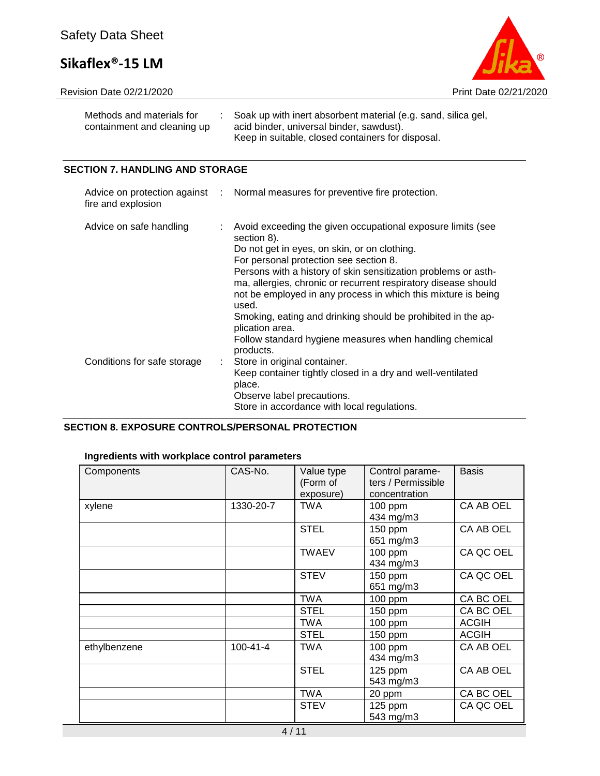

| <b>Revision Date 02/21/2020</b> |  |  |
|---------------------------------|--|--|
|                                 |  |  |

| Methods and materials for<br>containment and cleaning up |   | Soak up with inert absorbent material (e.g. sand, silica gel,<br>acid binder, universal binder, sawdust).<br>Keep in suitable, closed containers for disposal.                                                                                                                                                                                                                                                                                                                                                                                |
|----------------------------------------------------------|---|-----------------------------------------------------------------------------------------------------------------------------------------------------------------------------------------------------------------------------------------------------------------------------------------------------------------------------------------------------------------------------------------------------------------------------------------------------------------------------------------------------------------------------------------------|
| <b>SECTION 7. HANDLING AND STORAGE</b>                   |   |                                                                                                                                                                                                                                                                                                                                                                                                                                                                                                                                               |
| fire and explosion                                       |   | Advice on protection against : Normal measures for preventive fire protection.                                                                                                                                                                                                                                                                                                                                                                                                                                                                |
| Advice on safe handling                                  |   | Avoid exceeding the given occupational exposure limits (see<br>section 8).<br>Do not get in eyes, on skin, or on clothing.<br>For personal protection see section 8.<br>Persons with a history of skin sensitization problems or asth-<br>ma, allergies, chronic or recurrent respiratory disease should<br>not be employed in any process in which this mixture is being<br>used.<br>Smoking, eating and drinking should be prohibited in the ap-<br>plication area.<br>Follow standard hygiene measures when handling chemical<br>products. |
| Conditions for safe storage                              | ÷ | Store in original container.<br>Keep container tightly closed in a dry and well-ventilated<br>place.<br>Observe label precautions.<br>Store in accordance with local regulations.                                                                                                                                                                                                                                                                                                                                                             |

# **SECTION 8. EXPOSURE CONTROLS/PERSONAL PROTECTION**

### **Ingredients with workplace control parameters**

| Components   | CAS-No.        | Value type<br>(Form of<br>exposure) | Control parame-<br>ters / Permissible<br>concentration | <b>Basis</b> |
|--------------|----------------|-------------------------------------|--------------------------------------------------------|--------------|
| xylene       | 1330-20-7      | <b>TWA</b>                          | $100$ ppm<br>434 mg/m3                                 | CA AB OEL    |
|              |                | <b>STEL</b>                         | 150 ppm<br>651 mg/m3                                   | CA AB OEL    |
|              |                | <b>TWAEV</b>                        | 100 ppm<br>434 mg/m3                                   | CA QC OEL    |
|              |                | <b>STEV</b>                         | 150 ppm<br>651 mg/m3                                   | CA QC OEL    |
|              |                | <b>TWA</b>                          | 100 ppm                                                | CA BC OEL    |
|              |                | <b>STEL</b>                         | 150 ppm                                                | CA BC OEL    |
|              |                | <b>TWA</b>                          | $100$ ppm                                              | <b>ACGIH</b> |
|              |                | <b>STEL</b>                         | 150 ppm                                                | <b>ACGIH</b> |
| ethylbenzene | $100 - 41 - 4$ | <b>TWA</b>                          | $100$ ppm<br>434 mg/m3                                 | CA AB OEL    |
|              |                | <b>STEL</b>                         | $125$ ppm<br>543 mg/m3                                 | CA AB OEL    |
|              |                | <b>TWA</b>                          | 20 ppm                                                 | CA BC OEL    |
|              |                | <b>STEV</b>                         | 125 ppm<br>543 mg/m3                                   | CA QC OEL    |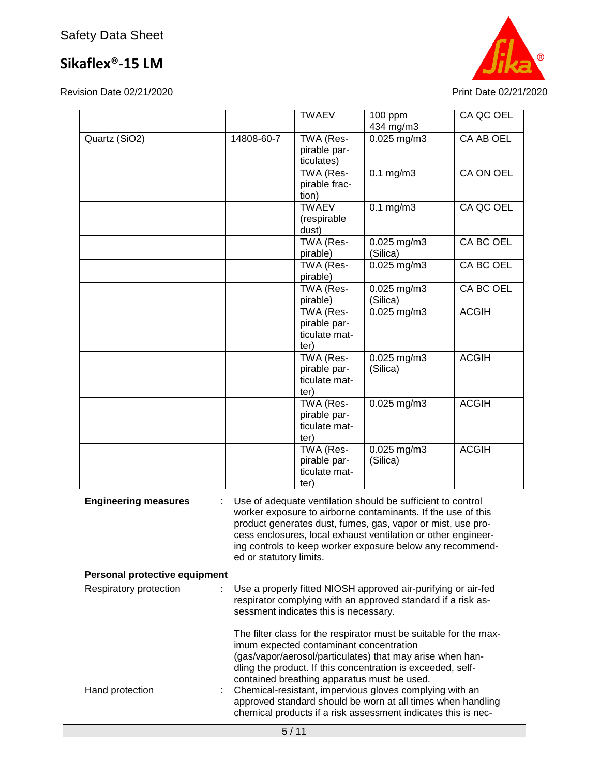Revision Date 02/21/2020 Print Date 02/21/2020

П

|                               |                                                                                                                                                                                                                                                                                                                                                                                                                                                                                    | <b>TWAEV</b>                                       | $100$ ppm<br>434 mg/m3  | CA QC OEL    |
|-------------------------------|------------------------------------------------------------------------------------------------------------------------------------------------------------------------------------------------------------------------------------------------------------------------------------------------------------------------------------------------------------------------------------------------------------------------------------------------------------------------------------|----------------------------------------------------|-------------------------|--------------|
| Quartz (SiO2)                 | 14808-60-7                                                                                                                                                                                                                                                                                                                                                                                                                                                                         | TWA (Res-<br>pirable par-<br>ticulates)            | 0.025 mg/m3             | CA AB OEL    |
|                               |                                                                                                                                                                                                                                                                                                                                                                                                                                                                                    | TWA (Res-<br>pirable frac-<br>tion)                | $0.1$ mg/m $3$          | CA ON OEL    |
|                               |                                                                                                                                                                                                                                                                                                                                                                                                                                                                                    | <b>TWAEV</b><br>(respirable<br>dust)               | $0.1$ mg/m $3$          | CA QC OEL    |
|                               |                                                                                                                                                                                                                                                                                                                                                                                                                                                                                    | TWA (Res-<br>pirable)                              | 0.025 mg/m3<br>(Silica) | CA BC OEL    |
|                               |                                                                                                                                                                                                                                                                                                                                                                                                                                                                                    | TWA (Res-<br>pirable)                              | $0.025$ mg/m $3$        | CA BC OEL    |
|                               |                                                                                                                                                                                                                                                                                                                                                                                                                                                                                    | TWA (Res-<br>pirable)                              | 0.025 mg/m3<br>(Silica) | CA BC OEL    |
|                               |                                                                                                                                                                                                                                                                                                                                                                                                                                                                                    | TWA (Res-<br>pirable par-<br>ticulate mat-<br>ter) | $0.025$ mg/m3           | <b>ACGIH</b> |
|                               |                                                                                                                                                                                                                                                                                                                                                                                                                                                                                    | TWA (Res-<br>pirable par-<br>ticulate mat-<br>ter) | 0.025 mg/m3<br>(Silica) | <b>ACGIH</b> |
|                               |                                                                                                                                                                                                                                                                                                                                                                                                                                                                                    | TWA (Res-<br>pirable par-<br>ticulate mat-<br>ter) | $0.025$ mg/m3           | <b>ACGIH</b> |
|                               |                                                                                                                                                                                                                                                                                                                                                                                                                                                                                    | TWA (Res-<br>pirable par-<br>ticulate mat-<br>ter) | 0.025 mg/m3<br>(Silica) | <b>ACGIH</b> |
| <b>Engineering measures</b>   | Use of adequate ventilation should be sufficient to control<br>worker exposure to airborne contaminants. If the use of this<br>product generates dust, fumes, gas, vapor or mist, use pro-<br>cess enclosures, local exhaust ventilation or other engineer-<br>ing controls to keep worker exposure below any recommend-<br>ed or statutory limits.                                                                                                                                |                                                    |                         |              |
| Personal protective equipment |                                                                                                                                                                                                                                                                                                                                                                                                                                                                                    |                                                    |                         |              |
| Respiratory protection        | Use a properly fitted NIOSH approved air-purifying or air-fed<br>respirator complying with an approved standard if a risk as-<br>sessment indicates this is necessary.                                                                                                                                                                                                                                                                                                             |                                                    |                         |              |
| Hand protection               | The filter class for the respirator must be suitable for the max-<br>imum expected contaminant concentration<br>(gas/vapor/aerosol/particulates) that may arise when han-<br>dling the product. If this concentration is exceeded, self-<br>contained breathing apparatus must be used.<br>Chemical-resistant, impervious gloves complying with an<br>approved standard should be worn at all times when handling<br>chemical products if a risk assessment indicates this is nec- |                                                    |                         |              |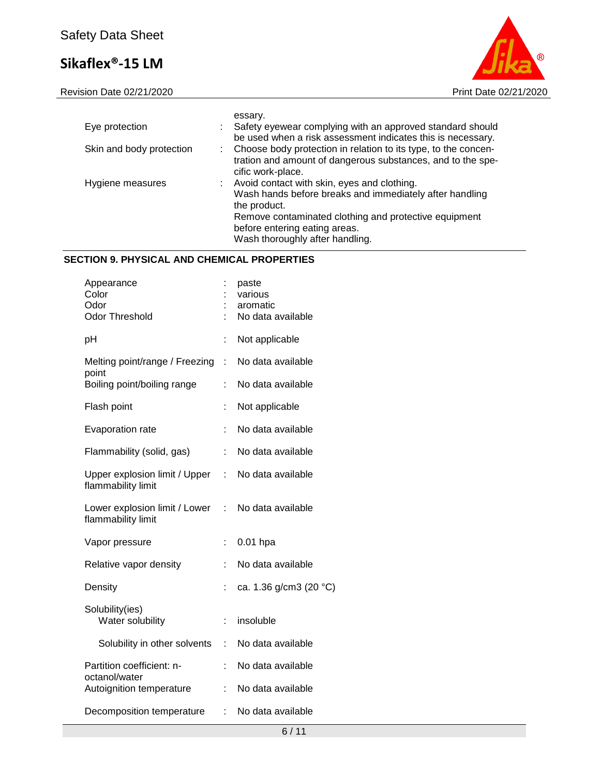

| Eye protection           | essary.<br>Safety eyewear complying with an approved standard should                                                                                                                                              |
|--------------------------|-------------------------------------------------------------------------------------------------------------------------------------------------------------------------------------------------------------------|
| Skin and body protection | be used when a risk assessment indicates this is necessary.<br>Choose body protection in relation to its type, to the concen-<br>tration and amount of dangerous substances, and to the spe-<br>cific work-place. |
| Hygiene measures         | Avoid contact with skin, eyes and clothing.<br>Wash hands before breaks and immediately after handling<br>the product.<br>Remove contaminated clothing and protective equipment<br>before entering eating areas.  |
|                          | Wash thoroughly after handling.                                                                                                                                                                                   |

# **SECTION 9. PHYSICAL AND CHEMICAL PROPERTIES**

|                       | paste<br>various<br>aromatic<br>No data available                                                |
|-----------------------|--------------------------------------------------------------------------------------------------|
| t                     | Not applicable                                                                                   |
| t.                    | No data available                                                                                |
| t                     | No data available                                                                                |
|                       | Not applicable                                                                                   |
| t                     | No data available                                                                                |
| ÷                     | No data available                                                                                |
| t.                    | No data available                                                                                |
| $\mathbb{Z}^{\times}$ | No data available                                                                                |
| t                     | 0.01 hpa                                                                                         |
| ÷                     | No data available                                                                                |
| t                     | ca. 1.36 g/cm3 (20 °C)                                                                           |
| ÷                     | insoluble                                                                                        |
| ÷                     | No data available                                                                                |
| t                     | No data available                                                                                |
| ÷                     | No data available                                                                                |
|                       | No data available                                                                                |
|                       | Melting point/range / Freezing<br>Upper explosion limit / Upper<br>Lower explosion limit / Lower |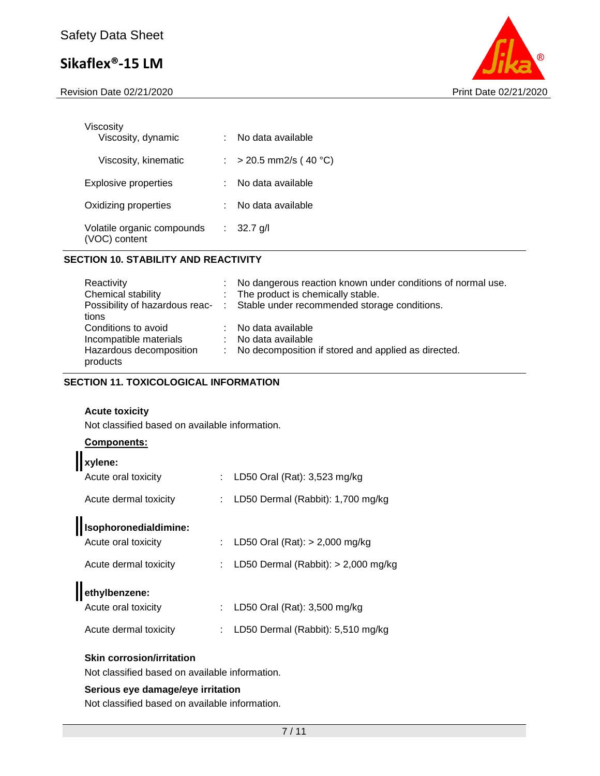Revision Date 02/21/2020 **Print Date 02/21/2020** 



| Viscositv<br>Viscosity, dynamic          |   | No data available      |
|------------------------------------------|---|------------------------|
| Viscosity, kinematic                     |   | $>$ 20.5 mm2/s (40 °C) |
| Explosive properties                     |   | No data available      |
| Oxidizing properties                     |   | No data available      |
| Volatile organic compounds<br>C) content | ÷ | 32.7 g/l               |

### **SECTION 10. STABILITY AND REACTIVITY**

| Reactivity              | : No dangerous reaction known under conditions of normal use.                 |
|-------------------------|-------------------------------------------------------------------------------|
| Chemical stability      | : The product is chemically stable.                                           |
|                         | Possibility of hazardous reac- : Stable under recommended storage conditions. |
| tions                   |                                                                               |
| Conditions to avoid     | : No data available                                                           |
| Incompatible materials  | : No data available                                                           |
| Hazardous decomposition | : No decomposition if stored and applied as directed.                         |
| products                |                                                                               |

# **SECTION 11. TOXICOLOGICAL INFORMATION**

### **Acute toxicity**

Not classified based on available information.

| <b>Components:</b>                                                    |    |                                                                           |
|-----------------------------------------------------------------------|----|---------------------------------------------------------------------------|
| xylene:<br>Acute oral toxicity                                        |    | LD50 Oral (Rat): 3,523 mg/kg                                              |
| Acute dermal toxicity                                                 |    | : LD50 Dermal (Rabbit): $1,700$ mg/kg                                     |
| Isophoronedialdimine:<br>Acute oral toxicity<br>Acute dermal toxicity |    | LD50 Oral (Rat): $> 2,000$ mg/kg<br>LD50 Dermal (Rabbit): $> 2,000$ mg/kg |
| ethylbenzene:<br>Acute oral toxicity                                  | ÷. | LD50 Oral (Rat): 3,500 mg/kg                                              |
| Acute dermal toxicity                                                 |    | LD50 Dermal (Rabbit): 5,510 mg/kg                                         |
|                                                                       |    |                                                                           |

# **Skin corrosion/irritation**

Not classified based on available information.

### **Serious eye damage/eye irritation**

Not classified based on available information.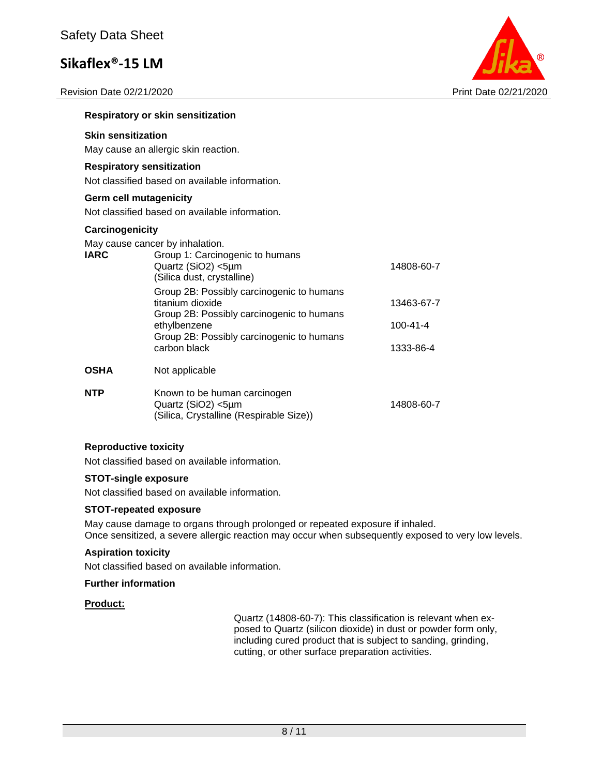Revision Date 02/21/2020 Print Date 02/21/2020

**Respiratory or skin sensitization**



| Respiratory or skin sensitization                                                                                                                                                                                                                                                                                                                   |                                                                                               |                                                         |  |  |  |  |  |  |
|-----------------------------------------------------------------------------------------------------------------------------------------------------------------------------------------------------------------------------------------------------------------------------------------------------------------------------------------------------|-----------------------------------------------------------------------------------------------|---------------------------------------------------------|--|--|--|--|--|--|
| <b>Skin sensitization</b><br>May cause an allergic skin reaction.                                                                                                                                                                                                                                                                                   |                                                                                               |                                                         |  |  |  |  |  |  |
|                                                                                                                                                                                                                                                                                                                                                     | <b>Respiratory sensitization</b><br>Not classified based on available information.            |                                                         |  |  |  |  |  |  |
|                                                                                                                                                                                                                                                                                                                                                     | Germ cell mutagenicity<br>Not classified based on available information.                      |                                                         |  |  |  |  |  |  |
| Carcinogenicity<br>May cause cancer by inhalation.<br>Group 1: Carcinogenic to humans<br><b>IARC</b><br>Quartz (SiO2) <5µm<br>(Silica dust, crystalline)<br>Group 2B: Possibly carcinogenic to humans<br>titanium dioxide<br>Group 2B: Possibly carcinogenic to humans<br>ethylbenzene<br>Group 2B: Possibly carcinogenic to humans<br>carbon black |                                                                                               | 14808-60-7<br>13463-67-7<br>$100 - 41 - 4$<br>1333-86-4 |  |  |  |  |  |  |
| <b>OSHA</b>                                                                                                                                                                                                                                                                                                                                         | Not applicable                                                                                |                                                         |  |  |  |  |  |  |
| <b>NTP</b>                                                                                                                                                                                                                                                                                                                                          | Known to be human carcinogen<br>Quartz (SiO2) <5µm<br>(Silica, Crystalline (Respirable Size)) | 14808-60-7                                              |  |  |  |  |  |  |

#### **Reproductive toxicity**

Not classified based on available information.

### **STOT-single exposure**

Not classified based on available information.

#### **STOT-repeated exposure**

May cause damage to organs through prolonged or repeated exposure if inhaled. Once sensitized, a severe allergic reaction may occur when subsequently exposed to very low levels.

### **Aspiration toxicity**

Not classified based on available information.

### **Further information**

#### **Product:**

Quartz (14808-60-7): This classification is relevant when exposed to Quartz (silicon dioxide) in dust or powder form only, including cured product that is subject to sanding, grinding, cutting, or other surface preparation activities.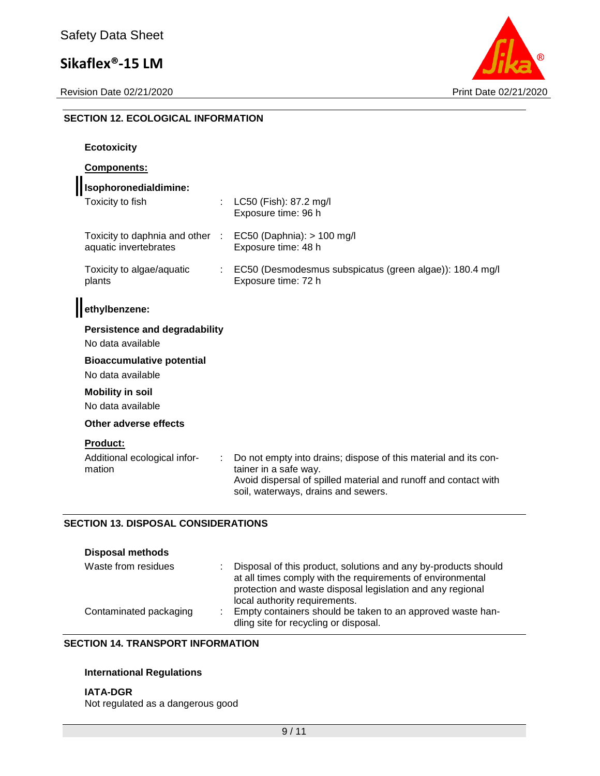**Ecotoxicity**

Revision Date 02/21/2020 **Print Date 02/21/2020** 



# **SECTION 12. ECOLOGICAL INFORMATION**

| Components:<br>Isophoronedialdimine:<br>Toxicity to fish  | ÷ | LC50 (Fish): 87.2 mg/l<br>Exposure time: 96 h                                                                                                                                                      |
|-----------------------------------------------------------|---|----------------------------------------------------------------------------------------------------------------------------------------------------------------------------------------------------|
| Toxicity to daphnia and other :<br>aquatic invertebrates  |   | $EC50$ (Daphnia): $> 100$ mg/l<br>Exposure time: 48 h                                                                                                                                              |
| Toxicity to algae/aquatic<br>plants                       |   | EC50 (Desmodesmus subspicatus (green algae)): 180.4 mg/l<br>Exposure time: 72 h                                                                                                                    |
| ethylbenzene:                                             |   |                                                                                                                                                                                                    |
| <b>Persistence and degradability</b><br>No data available |   |                                                                                                                                                                                                    |
| <b>Bioaccumulative potential</b><br>No data available     |   |                                                                                                                                                                                                    |
| <b>Mobility in soil</b><br>No data available              |   |                                                                                                                                                                                                    |
| Other adverse effects                                     |   |                                                                                                                                                                                                    |
| <b>Product:</b><br>Additional ecological infor-<br>mation |   | Do not empty into drains; dispose of this material and its con-<br>tainer in a safe way.<br>Avoid dispersal of spilled material and runoff and contact with<br>soil, waterways, drains and sewers. |

### **SECTION 13. DISPOSAL CONSIDERATIONS**

| <b>Disposal methods</b> |                                                                                                                                                                                                                             |
|-------------------------|-----------------------------------------------------------------------------------------------------------------------------------------------------------------------------------------------------------------------------|
| Waste from residues     | Disposal of this product, solutions and any by-products should<br>at all times comply with the requirements of environmental<br>protection and waste disposal legislation and any regional<br>local authority requirements. |
| Contaminated packaging  | Empty containers should be taken to an approved waste han-<br>dling site for recycling or disposal.                                                                                                                         |

## **SECTION 14. TRANSPORT INFORMATION**

# **International Regulations**

**IATA-DGR** Not regulated as a dangerous good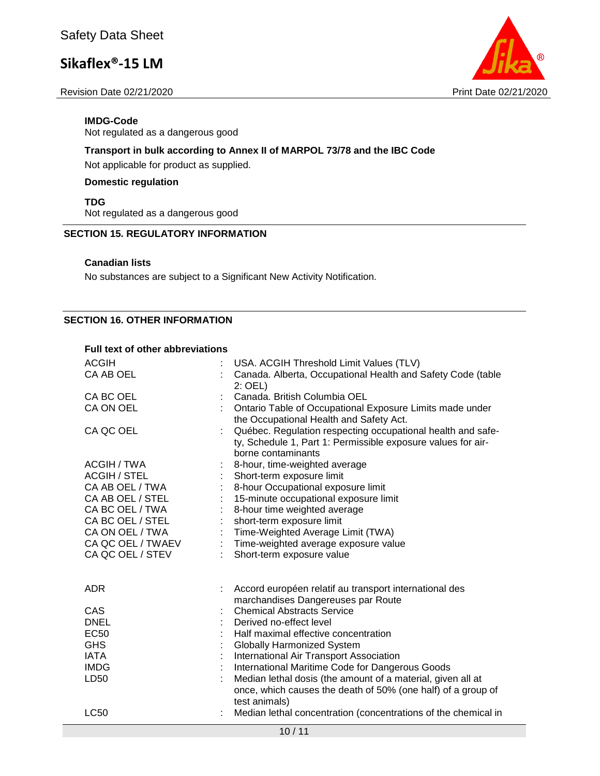Revision Date 02/21/2020 Print Date 02/21/2020



### **IMDG-Code**

Not regulated as a dangerous good

# **Transport in bulk according to Annex II of MARPOL 73/78 and the IBC Code** Not applicable for product as supplied.

### **Domestic regulation**

**TDG** Not regulated as a dangerous good

### **SECTION 15. REGULATORY INFORMATION**

### **Canadian lists**

No substances are subject to a Significant New Activity Notification.

# **SECTION 16. OTHER INFORMATION**

#### **Full text of other abbreviations**

| <b>ACGIH</b><br>CA AB OEL                                                                                                                                                         | USA. ACGIH Threshold Limit Values (TLV)<br>Canada. Alberta, Occupational Health and Safety Code (table<br>$2:$ OEL)                                                                                                                                                                                                |
|-----------------------------------------------------------------------------------------------------------------------------------------------------------------------------------|--------------------------------------------------------------------------------------------------------------------------------------------------------------------------------------------------------------------------------------------------------------------------------------------------------------------|
| CA BC OEL<br>CA ON OEL                                                                                                                                                            | Canada, British Columbia OEL<br>Ontario Table of Occupational Exposure Limits made under<br>the Occupational Health and Safety Act.                                                                                                                                                                                |
| CA QC OEL                                                                                                                                                                         | Québec. Regulation respecting occupational health and safe-<br>ty, Schedule 1, Part 1: Permissible exposure values for air-<br>borne contaminants                                                                                                                                                                  |
| ACGIH / TWA<br><b>ACGIH / STEL</b><br>CA AB OEL / TWA<br>CA AB OEL / STEL<br>CA BC OEL / TWA<br>CA BC OEL / STEL<br>CA ON OEL / TWA<br>÷<br>CA QC OEL / TWAEV<br>CA QC OEL / STEV | 8-hour, time-weighted average<br>Short-term exposure limit<br>8-hour Occupational exposure limit<br>15-minute occupational exposure limit<br>8-hour time weighted average<br>short-term exposure limit<br>Time-Weighted Average Limit (TWA)<br>: Time-weighted average exposure value<br>Short-term exposure value |
| <b>ADR</b>                                                                                                                                                                        | Accord européen relatif au transport international des<br>marchandises Dangereuses par Route                                                                                                                                                                                                                       |
| CAS                                                                                                                                                                               | <b>Chemical Abstracts Service</b>                                                                                                                                                                                                                                                                                  |
| <b>DNEL</b><br><b>EC50</b>                                                                                                                                                        | Derived no-effect level<br>Half maximal effective concentration                                                                                                                                                                                                                                                    |
| <b>GHS</b>                                                                                                                                                                        | <b>Globally Harmonized System</b>                                                                                                                                                                                                                                                                                  |
| <b>IATA</b>                                                                                                                                                                       | International Air Transport Association                                                                                                                                                                                                                                                                            |
| <b>IMDG</b>                                                                                                                                                                       | International Maritime Code for Dangerous Goods                                                                                                                                                                                                                                                                    |
| LD50                                                                                                                                                                              | Median lethal dosis (the amount of a material, given all at<br>once, which causes the death of 50% (one half) of a group of<br>test animals)                                                                                                                                                                       |
| <b>LC50</b>                                                                                                                                                                       | Median lethal concentration (concentrations of the chemical in                                                                                                                                                                                                                                                     |